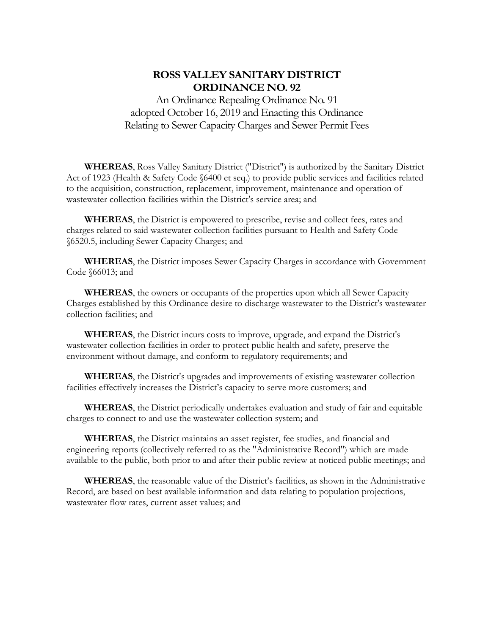# **ROSS VALLEY SANITARY DISTRICT ORDINANCE NO. 92**

An Ordinance Repealing Ordinance No. 91 adopted October 16, 2019 and Enacting this Ordinance Relating to Sewer Capacity Charges and Sewer Permit Fees

**WHEREAS**, Ross Valley Sanitary District ("District") is authorized by the Sanitary District Act of 1923 (Health & Safety Code §6400 et seq.) to provide public services and facilities related to the acquisition, construction, replacement, improvement, maintenance and operation of wastewater collection facilities within the District's service area; and

**WHEREAS**, the District is empowered to prescribe, revise and collect fees, rates and charges related to said wastewater collection facilities pursuant to Health and Safety Code §6520.5, including Sewer Capacity Charges; and

**WHEREAS**, the District imposes Sewer Capacity Charges in accordance with Government Code §66013; and

**WHEREAS**, the owners or occupants of the properties upon which all Sewer Capacity Charges established by this Ordinance desire to discharge wastewater to the District's wastewater collection facilities; and

**WHEREAS**, the District incurs costs to improve, upgrade, and expand the District's wastewater collection facilities in order to protect public health and safety, preserve the environment without damage, and conform to regulatory requirements; and

**WHEREAS**, the District's upgrades and improvements of existing wastewater collection facilities effectively increases the District's capacity to serve more customers; and

**WHEREAS**, the District periodically undertakes evaluation and study of fair and equitable charges to connect to and use the wastewater collection system; and

**WHEREAS**, the District maintains an asset register, fee studies, and financial and engineering reports (collectively referred to as the "Administrative Record") which are made available to the public, both prior to and after their public review at noticed public meetings; and

**WHEREAS**, the reasonable value of the District's facilities, as shown in the Administrative Record, are based on best available information and data relating to population projections, wastewater flow rates, current asset values; and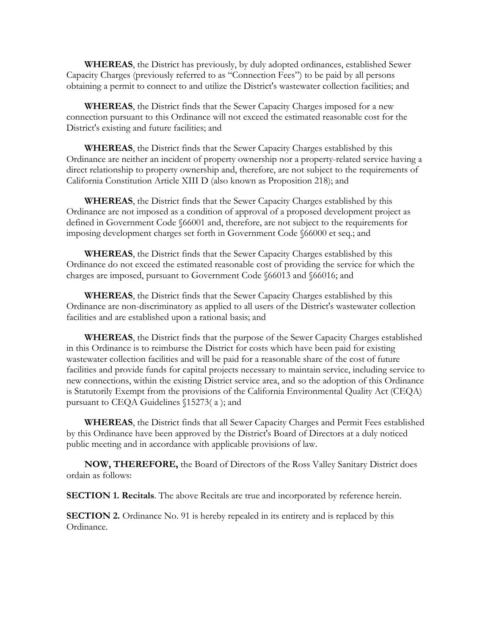**WHEREAS**, the District has previously, by duly adopted ordinances, established Sewer Capacity Charges (previously referred to as "Connection Fees") to be paid by all persons obtaining a permit to connect to and utilize the District's wastewater collection facilities; and

**WHEREAS**, the District finds that the Sewer Capacity Charges imposed for a new connection pursuant to this Ordinance will not exceed the estimated reasonable cost for the District's existing and future facilities; and

**WHEREAS**, the District finds that the Sewer Capacity Charges established by this Ordinance are neither an incident of property ownership nor a property-related service having a direct relationship to property ownership and, therefore, are not subject to the requirements of California Constitution Article XIII D (also known as Proposition 218); and

**WHEREAS**, the District finds that the Sewer Capacity Charges established by this Ordinance are not imposed as a condition of approval of a proposed development project as defined in Government Code §66001 and, therefore, are not subject to the requirements for imposing development charges set forth in Government Code §66000 et seq.; and

**WHEREAS**, the District finds that the Sewer Capacity Charges established by this Ordinance do not exceed the estimated reasonable cost of providing the service for which the charges are imposed, pursuant to Government Code §66013 and §66016; and

**WHEREAS**, the District finds that the Sewer Capacity Charges established by this Ordinance are non-discriminatory as applied to all users of the District's wastewater collection facilities and are established upon a rational basis; and

**WHEREAS**, the District finds that the purpose of the Sewer Capacity Charges established in this Ordinance is to reimburse the District for costs which have been paid for existing wastewater collection facilities and will be paid for a reasonable share of the cost of future facilities and provide funds for capital projects necessary to maintain service, including service to new connections, within the existing District service area, and so the adoption of this Ordinance is Statutorily Exempt from the provisions of the California Environmental Quality Act (CEQA) pursuant to CEQA Guidelines §15273( a ); and

**WHEREAS**, the District finds that all Sewer Capacity Charges and Permit Fees established by this Ordinance have been approved by the District's Board of Directors at a duly noticed public meeting and in accordance with applicable provisions of law.

**NOW, THEREFORE,** the Board of Directors of the Ross Valley Sanitary District does ordain as follows:

**SECTION 1. Recitals**. The above Recitals are true and incorporated by reference herein.

**SECTION 2.** Ordinance No. 91 is hereby repealed in its entirety and is replaced by this Ordinance.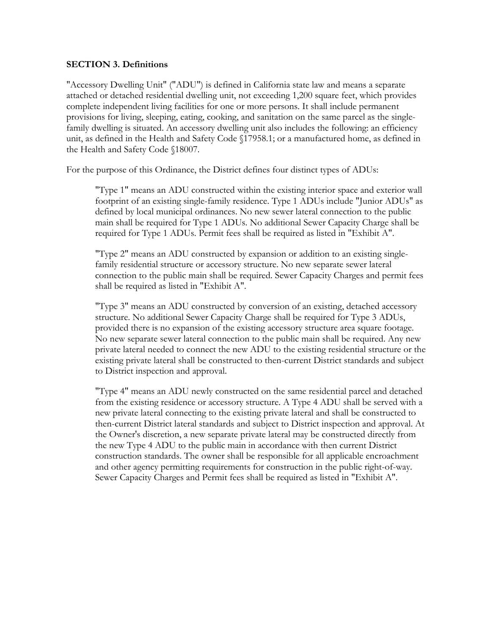#### **SECTION 3. Definitions**

"Accessory Dwelling Unit" ("ADU") is defined in California state law and means a separate attached or detached residential dwelling unit, not exceeding 1,200 square feet, which provides complete independent living facilities for one or more persons. It shall include permanent provisions for living, sleeping, eating, cooking, and sanitation on the same parcel as the singlefamily dwelling is situated. An accessory dwelling unit also includes the following: an efficiency unit, as defined in the Health and Safety Code §17958.1; or a manufactured home, as defined in the Health and Safety Code §18007.

For the purpose of this Ordinance, the District defines four distinct types of ADUs:

"Type 1" means an ADU constructed within the existing interior space and exterior wall footprint of an existing single-family residence. Type 1 ADUs include "Junior ADUs" as defined by local municipal ordinances. No new sewer lateral connection to the public main shall be required for Type 1 ADUs. No additional Sewer Capacity Charge shall be required for Type 1 ADUs. Permit fees shall be required as listed in "Exhibit A".

"Type 2" means an ADU constructed by expansion or addition to an existing singlefamily residential structure or accessory structure. No new separate sewer lateral connection to the public main shall be required. Sewer Capacity Charges and permit fees shall be required as listed in "Exhibit A".

"Type 3" means an ADU constructed by conversion of an existing, detached accessory structure. No additional Sewer Capacity Charge shall be required for Type 3 ADUs, provided there is no expansion of the existing accessory structure area square footage. No new separate sewer lateral connection to the public main shall be required. Any new private lateral needed to connect the new ADU to the existing residential structure or the existing private lateral shall be constructed to then-current District standards and subject to District inspection and approval.

"Type 4" means an ADU newly constructed on the same residential parcel and detached from the existing residence or accessory structure. A Type 4 ADU shall be served with a new private lateral connecting to the existing private lateral and shall be constructed to then-current District lateral standards and subject to District inspection and approval. At the Owner's discretion, a new separate private lateral may be constructed directly from the new Type 4 ADU to the public main in accordance with then current District construction standards. The owner shall be responsible for all applicable encroachment and other agency permitting requirements for construction in the public right-of-way. Sewer Capacity Charges and Permit fees shall be required as listed in "Exhibit A".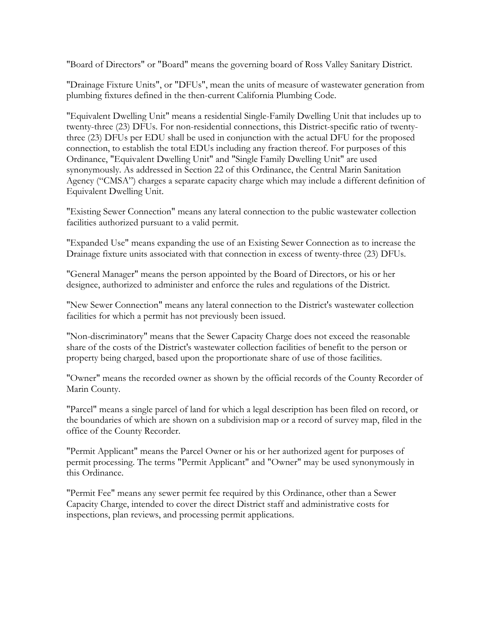"Board of Directors" or "Board" means the governing board of Ross Valley Sanitary District.

"Drainage Fixture Units", or "DFUs", mean the units of measure of wastewater generation from plumbing fixtures defined in the then-current California Plumbing Code.

"Equivalent Dwelling Unit" means a residential Single-Family Dwelling Unit that includes up to twenty-three (23) DFUs. For non-residential connections, this District-specific ratio of twentythree (23) DFUs per EDU shall be used in conjunction with the actual DFU for the proposed connection, to establish the total EDUs including any fraction thereof. For purposes of this Ordinance, "Equivalent Dwelling Unit" and "Single Family Dwelling Unit" are used synonymously. As addressed in Section 22 of this Ordinance, the Central Marin Sanitation Agency ("CMSA") charges a separate capacity charge which may include a different definition of Equivalent Dwelling Unit.

"Existing Sewer Connection" means any lateral connection to the public wastewater collection facilities authorized pursuant to a valid permit.

"Expanded Use" means expanding the use of an Existing Sewer Connection as to increase the Drainage fixture units associated with that connection in excess of twenty-three (23) DFUs.

"General Manager" means the person appointed by the Board of Directors, or his or her designee, authorized to administer and enforce the rules and regulations of the District.

"New Sewer Connection" means any lateral connection to the District's wastewater collection facilities for which a permit has not previously been issued.

"Non-discriminatory" means that the Sewer Capacity Charge does not exceed the reasonable share of the costs of the District's wastewater collection facilities of benefit to the person or property being charged, based upon the proportionate share of use of those facilities.

"Owner" means the recorded owner as shown by the official records of the County Recorder of Marin County.

"Parcel" means a single parcel of land for which a legal description has been filed on record, or the boundaries of which are shown on a subdivision map or a record of survey map, filed in the office of the County Recorder.

"Permit Applicant" means the Parcel Owner or his or her authorized agent for purposes of permit processing. The terms "Permit Applicant" and "Owner" may be used synonymously in this Ordinance.

"Permit Fee" means any sewer permit fee required by this Ordinance, other than a Sewer Capacity Charge, intended to cover the direct District staff and administrative costs for inspections, plan reviews, and processing permit applications.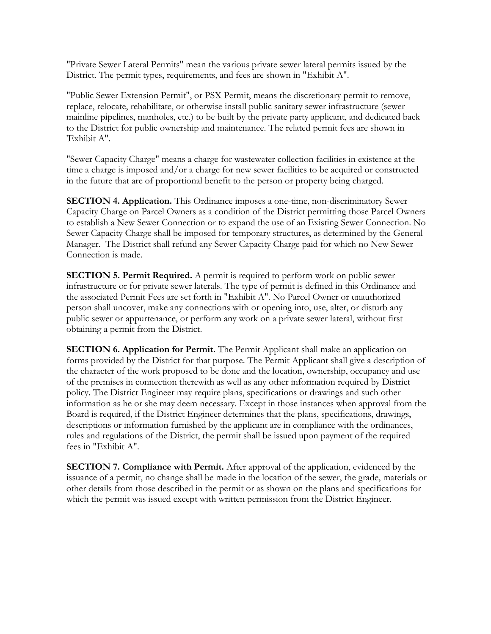"Private Sewer Lateral Permits" mean the various private sewer lateral permits issued by the District. The permit types, requirements, and fees are shown in "Exhibit A".

"Public Sewer Extension Permit", or PSX Permit, means the discretionary permit to remove, replace, relocate, rehabilitate, or otherwise install public sanitary sewer infrastructure (sewer mainline pipelines, manholes, etc.) to be built by the private party applicant, and dedicated back to the District for public ownership and maintenance. The related permit fees are shown in 'Exhibit A".

"Sewer Capacity Charge" means a charge for wastewater collection facilities in existence at the time a charge is imposed and/or a charge for new sewer facilities to be acquired or constructed in the future that are of proportional benefit to the person or property being charged.

**SECTION 4. Application.** This Ordinance imposes a one-time, non-discriminatory Sewer Capacity Charge on Parcel Owners as a condition of the District permitting those Parcel Owners to establish a New Sewer Connection or to expand the use of an Existing Sewer Connection. No Sewer Capacity Charge shall be imposed for temporary structures, as determined by the General Manager. The District shall refund any Sewer Capacity Charge paid for which no New Sewer Connection is made.

**SECTION 5. Permit Required.** A permit is required to perform work on public sewer infrastructure or for private sewer laterals. The type of permit is defined in this Ordinance and the associated Permit Fees are set forth in "Exhibit A". No Parcel Owner or unauthorized person shall uncover, make any connections with or opening into, use, alter, or disturb any public sewer or appurtenance, or perform any work on a private sewer lateral, without first obtaining a permit from the District.

**SECTION 6. Application for Permit.** The Permit Applicant shall make an application on forms provided by the District for that purpose. The Permit Applicant shall give a description of the character of the work proposed to be done and the location, ownership, occupancy and use of the premises in connection therewith as well as any other information required by District policy. The District Engineer may require plans, specifications or drawings and such other information as he or she may deem necessary. Except in those instances when approval from the Board is required, if the District Engineer determines that the plans, specifications, drawings, descriptions or information furnished by the applicant are in compliance with the ordinances, rules and regulations of the District, the permit shall be issued upon payment of the required fees in "Exhibit A".

**SECTION 7. Compliance with Permit.** After approval of the application, evidenced by the issuance of a permit, no change shall be made in the location of the sewer, the grade, materials or other details from those described in the permit or as shown on the plans and specifications for which the permit was issued except with written permission from the District Engineer.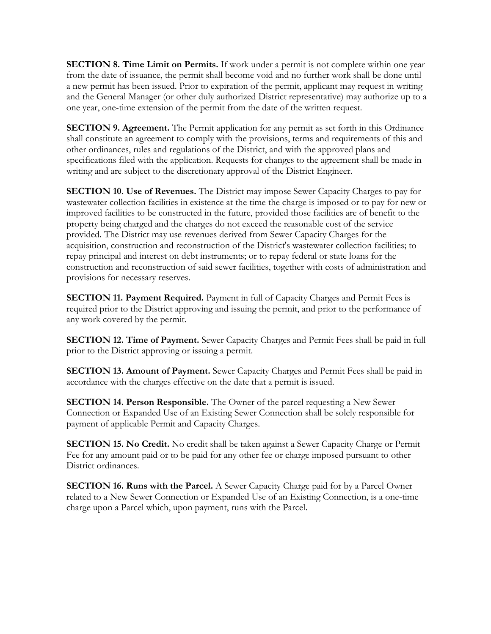**SECTION 8. Time Limit on Permits.** If work under a permit is not complete within one year from the date of issuance, the permit shall become void and no further work shall be done until a new permit has been issued. Prior to expiration of the permit, applicant may request in writing and the General Manager (or other duly authorized District representative) may authorize up to a one year, one-time extension of the permit from the date of the written request.

**SECTION 9. Agreement.** The Permit application for any permit as set forth in this Ordinance shall constitute an agreement to comply with the provisions, terms and requirements of this and other ordinances, rules and regulations of the District, and with the approved plans and specifications filed with the application. Requests for changes to the agreement shall be made in writing and are subject to the discretionary approval of the District Engineer.

**SECTION 10. Use of Revenues.** The District may impose Sewer Capacity Charges to pay for wastewater collection facilities in existence at the time the charge is imposed or to pay for new or improved facilities to be constructed in the future, provided those facilities are of benefit to the property being charged and the charges do not exceed the reasonable cost of the service provided. The District may use revenues derived from Sewer Capacity Charges for the acquisition, construction and reconstruction of the District's wastewater collection facilities; to repay principal and interest on debt instruments; or to repay federal or state loans for the construction and reconstruction of said sewer facilities, together with costs of administration and provisions for necessary reserves.

**SECTION 11. Payment Required.** Payment in full of Capacity Charges and Permit Fees is required prior to the District approving and issuing the permit, and prior to the performance of any work covered by the permit.

**SECTION 12. Time of Payment.** Sewer Capacity Charges and Permit Fees shall be paid in full prior to the District approving or issuing a permit.

**SECTION 13. Amount of Payment.** Sewer Capacity Charges and Permit Fees shall be paid in accordance with the charges effective on the date that a permit is issued.

**SECTION 14. Person Responsible.** The Owner of the parcel requesting a New Sewer Connection or Expanded Use of an Existing Sewer Connection shall be solely responsible for payment of applicable Permit and Capacity Charges.

**SECTION 15. No Credit.** No credit shall be taken against a Sewer Capacity Charge or Permit Fee for any amount paid or to be paid for any other fee or charge imposed pursuant to other District ordinances.

**SECTION 16. Runs with the Parcel.** A Sewer Capacity Charge paid for by a Parcel Owner related to a New Sewer Connection or Expanded Use of an Existing Connection, is a one-time charge upon a Parcel which, upon payment, runs with the Parcel.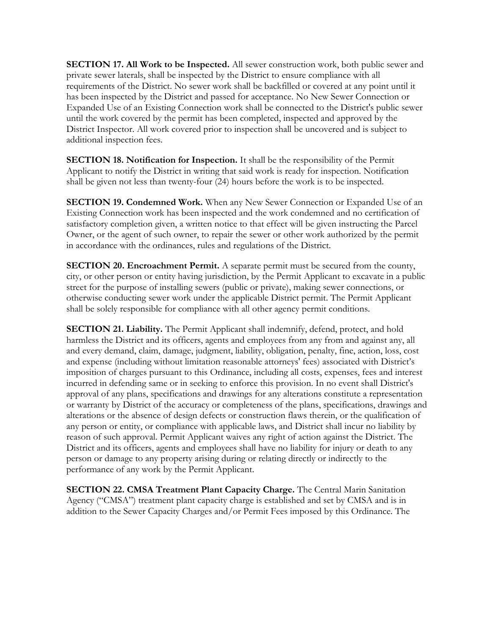**SECTION 17. All Work to be Inspected.** All sewer construction work, both public sewer and private sewer laterals, shall be inspected by the District to ensure compliance with all requirements of the District. No sewer work shall be backfilled or covered at any point until it has been inspected by the District and passed for acceptance. No New Sewer Connection or Expanded Use of an Existing Connection work shall be connected to the District's public sewer until the work covered by the permit has been completed, inspected and approved by the District Inspector. All work covered prior to inspection shall be uncovered and is subject to additional inspection fees.

**SECTION 18. Notification for Inspection.** It shall be the responsibility of the Permit Applicant to notify the District in writing that said work is ready for inspection. Notification shall be given not less than twenty-four (24) hours before the work is to be inspected.

**SECTION 19. Condemned Work.** When any New Sewer Connection or Expanded Use of an Existing Connection work has been inspected and the work condemned and no certification of satisfactory completion given, a written notice to that effect will be given instructing the Parcel Owner, or the agent of such owner, to repair the sewer or other work authorized by the permit in accordance with the ordinances, rules and regulations of the District.

**SECTION 20. Encroachment Permit.** A separate permit must be secured from the county, city, or other person or entity having jurisdiction, by the Permit Applicant to excavate in a public street for the purpose of installing sewers (public or private), making sewer connections, or otherwise conducting sewer work under the applicable District permit. The Permit Applicant shall be solely responsible for compliance with all other agency permit conditions.

**SECTION 21. Liability.** The Permit Applicant shall indemnify, defend, protect, and hold harmless the District and its officers, agents and employees from any from and against any, all and every demand, claim, damage, judgment, liability, obligation, penalty, fine, action, loss, cost and expense (including without limitation reasonable attorneys' fees) associated with District's imposition of charges pursuant to this Ordinance, including all costs, expenses, fees and interest incurred in defending same or in seeking to enforce this provision. In no event shall District's approval of any plans, specifications and drawings for any alterations constitute a representation or warranty by District of the accuracy or completeness of the plans, specifications, drawings and alterations or the absence of design defects or construction flaws therein, or the qualification of any person or entity, or compliance with applicable laws, and District shall incur no liability by reason of such approval. Permit Applicant waives any right of action against the District. The District and its officers, agents and employees shall have no liability for injury or death to any person or damage to any property arising during or relating directly or indirectly to the performance of any work by the Permit Applicant.

**SECTION 22. CMSA Treatment Plant Capacity Charge.** The Central Marin Sanitation Agency ("CMSA") treatment plant capacity charge is established and set by CMSA and is in addition to the Sewer Capacity Charges and/or Permit Fees imposed by this Ordinance. The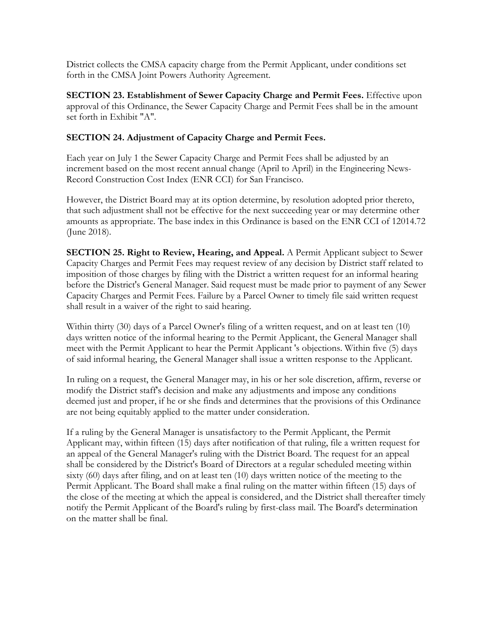District collects the CMSA capacity charge from the Permit Applicant, under conditions set forth in the CMSA Joint Powers Authority Agreement.

**SECTION 23. Establishment of Sewer Capacity Charge and Permit Fees.** Effective upon approval of this Ordinance, the Sewer Capacity Charge and Permit Fees shall be in the amount set forth in Exhibit "A".

#### **SECTION 24. Adjustment of Capacity Charge and Permit Fees.**

Each year on July 1 the Sewer Capacity Charge and Permit Fees shall be adjusted by an increment based on the most recent annual change (April to April) in the Engineering News-Record Construction Cost Index (ENR CCI) for San Francisco.

However, the District Board may at its option determine, by resolution adopted prior thereto, that such adjustment shall not be effective for the next succeeding year or may determine other amounts as appropriate. The base index in this Ordinance is based on the ENR CCI of 12014.72 (June 2018).

**SECTION 25. Right to Review, Hearing, and Appeal.** A Permit Applicant subject to Sewer Capacity Charges and Permit Fees may request review of any decision by District staff related to imposition of those charges by filing with the District a written request for an informal hearing before the District's General Manager. Said request must be made prior to payment of any Sewer Capacity Charges and Permit Fees. Failure by a Parcel Owner to timely file said written request shall result in a waiver of the right to said hearing.

Within thirty (30) days of a Parcel Owner's filing of a written request, and on at least ten (10) days written notice of the informal hearing to the Permit Applicant, the General Manager shall meet with the Permit Applicant to hear the Permit Applicant 's objections. Within five (5) days of said informal hearing, the General Manager shall issue a written response to the Applicant.

In ruling on a request, the General Manager may, in his or her sole discretion, affirm, reverse or modify the District staff's decision and make any adjustments and impose any conditions deemed just and proper, if he or she finds and determines that the provisions of this Ordinance are not being equitably applied to the matter under consideration.

If a ruling by the General Manager is unsatisfactory to the Permit Applicant, the Permit Applicant may, within fifteen (15) days after notification of that ruling, file a written request for an appeal of the General Manager's ruling with the District Board. The request for an appeal shall be considered by the District's Board of Directors at a regular scheduled meeting within sixty (60) days after filing, and on at least ten (10) days written notice of the meeting to the Permit Applicant. The Board shall make a final ruling on the matter within fifteen (15) days of the close of the meeting at which the appeal is considered, and the District shall thereafter timely notify the Permit Applicant of the Board's ruling by first-class mail. The Board's determination on the matter shall be final.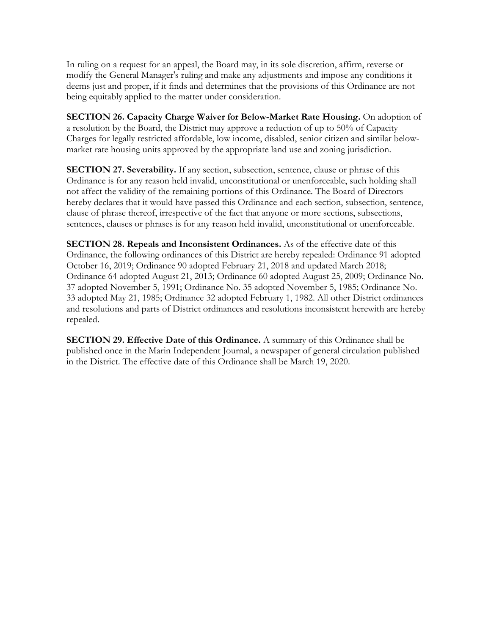In ruling on a request for an appeal, the Board may, in its sole discretion, affirm, reverse or modify the General Manager's ruling and make any adjustments and impose any conditions it deems just and proper, if it finds and determines that the provisions of this Ordinance are not being equitably applied to the matter under consideration.

**SECTION 26. Capacity Charge Waiver for Below-Market Rate Housing.** On adoption of a resolution by the Board, the District may approve a reduction of up to 50% of Capacity Charges for legally restricted affordable, low income, disabled, senior citizen and similar belowmarket rate housing units approved by the appropriate land use and zoning jurisdiction.

**SECTION 27. Severability.** If any section, subsection, sentence, clause or phrase of this Ordinance is for any reason held invalid, unconstitutional or unenforceable, such holding shall not affect the validity of the remaining portions of this Ordinance. The Board of Directors hereby declares that it would have passed this Ordinance and each section, subsection, sentence, clause of phrase thereof, irrespective of the fact that anyone or more sections, subsections, sentences, clauses or phrases is for any reason held invalid, unconstitutional or unenforceable.

**SECTION 28. Repeals and Inconsistent Ordinances.** As of the effective date of this Ordinance, the following ordinances of this District are hereby repealed: Ordinance 91 adopted October 16, 2019; Ordinance 90 adopted February 21, 2018 and updated March 2018; Ordinance 64 adopted August 21, 2013; Ordinance 60 adopted August 25, 2009; Ordinance No. 37 adopted November 5, 1991; Ordinance No. 35 adopted November 5, 1985; Ordinance No. 33 adopted May 21, 1985; Ordinance 32 adopted February 1, 1982. All other District ordinances and resolutions and parts of District ordinances and resolutions inconsistent herewith are hereby repealed.

**SECTION 29. Effective Date of this Ordinance.** A summary of this Ordinance shall be published once in the Marin Independent Journal, a newspaper of general circulation published in the District. The effective date of this Ordinance shall be March 19, 2020.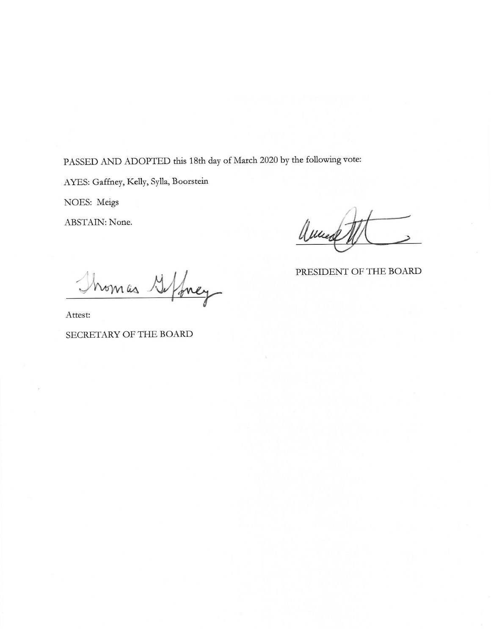PASSED AND ADOPTED this 18th day of March 2020 by the following vote:

AYES: Gaffney, Kelly, Sylla, Boorstein

NOES: Meigs

**ABSTAIN: None.** 

aluce

PRESIDENT OF THE BOARD

Thomas G/frey

Attest:

#### SECRETARY OF THE BOARD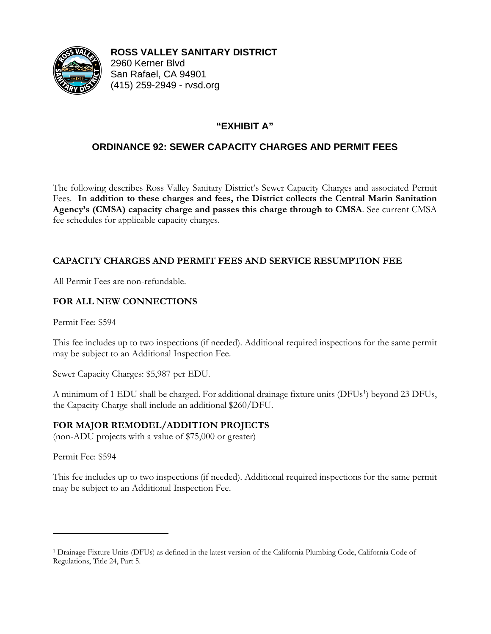

**ROSS VALLEY SANITARY DISTRICT** 2960 Kerner Blvd San Rafael, CA 94901

(415) 259-2949 - rvsd.org

# **"EXHIBIT A"**

# **ORDINANCE 92: SEWER CAPACITY CHARGES AND PERMIT FEES**

The following describes Ross Valley Sanitary District's Sewer Capacity Charges and associated Permit Fees. **In addition to these charges and fees, the District collects the Central Marin Sanitation Agency's (CMSA) capacity charge and passes this charge through to CMSA**. See current CMSA fee schedules for applicable capacity charges.

## **CAPACITY CHARGES AND PERMIT FEES AND SERVICE RESUMPTION FEE**

All Permit Fees are non-refundable.

## **FOR ALL NEW CONNECTIONS**

Permit Fee: \$594

This fee includes up to two inspections (if needed). Additional required inspections for the same permit may be subject to an Additional Inspection Fee.

Sewer Capacity Charges: \$5,987 per EDU.

A minimum of [1](#page-10-0) EDU shall be charged. For additional drainage fixture units (DFUs<sup>1</sup>) beyond 23 DFUs, the Capacity Charge shall include an additional \$260/DFU.

## **FOR MAJOR REMODEL/ADDITION PROJECTS**

(non-ADU projects with a value of \$75,000 or greater)

Permit Fee: \$594

This fee includes up to two inspections (if needed). Additional required inspections for the same permit may be subject to an Additional Inspection Fee.

<span id="page-10-0"></span><sup>1</sup> Drainage Fixture Units (DFUs) as defined in the latest version of the California Plumbing Code, California Code of Regulations, Title 24, Part 5.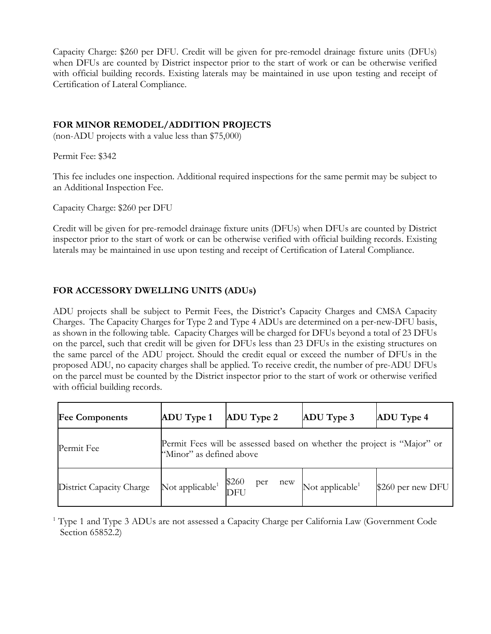Capacity Charge: \$260 per DFU. Credit will be given for pre-remodel drainage fixture units (DFUs) when DFUs are counted by District inspector prior to the start of work or can be otherwise verified with official building records. Existing laterals may be maintained in use upon testing and receipt of Certification of Lateral Compliance.

#### **FOR MINOR REMODEL/ADDITION PROJECTS**

(non-ADU projects with a value less than \$75,000)

Permit Fee: \$342

This fee includes one inspection. Additional required inspections for the same permit may be subject to an Additional Inspection Fee.

Capacity Charge: \$260 per DFU

Credit will be given for pre-remodel drainage fixture units (DFUs) when DFUs are counted by District inspector prior to the start of work or can be otherwise verified with official building records. Existing laterals may be maintained in use upon testing and receipt of Certification of Lateral Compliance.

## **FOR ACCESSORY DWELLING UNITS (ADUs)**

ADU projects shall be subject to Permit Fees, the District's Capacity Charges and CMSA Capacity Charges. The Capacity Charges for Type 2 and Type 4 ADUs are determined on a per-new-DFU basis, as shown in the following table. Capacity Charges will be charged for DFUs beyond a total of 23 DFUs on the parcel, such that credit will be given for DFUs less than 23 DFUs in the existing structures on the same parcel of the ADU project. Should the credit equal or exceed the number of DFUs in the proposed ADU, no capacity charges shall be applied. To receive credit, the number of pre-ADU DFUs on the parcel must be counted by the District inspector prior to the start of work or otherwise verified with official building records.

| <b>Fee Components</b>    | <b>ADU</b> Type 1           | <b>ADU</b> Type 2                                                       | ADU Type 3                  | <b>ADU</b> Type 4 |
|--------------------------|-----------------------------|-------------------------------------------------------------------------|-----------------------------|-------------------|
| Permit Fee               | "Minor" as defined above    | Permit Fees will be assessed based on whether the project is "Major" or |                             |                   |
| District Capacity Charge | Not applicable <sup>1</sup> | \$260<br>new<br>per<br><b>DFU</b>                                       | Not applicable <sup>1</sup> | \$260 per new DFU |

<sup>1</sup> Type 1 and Type 3 ADUs are not assessed a Capacity Charge per California Law (Government Code Section 65852.2)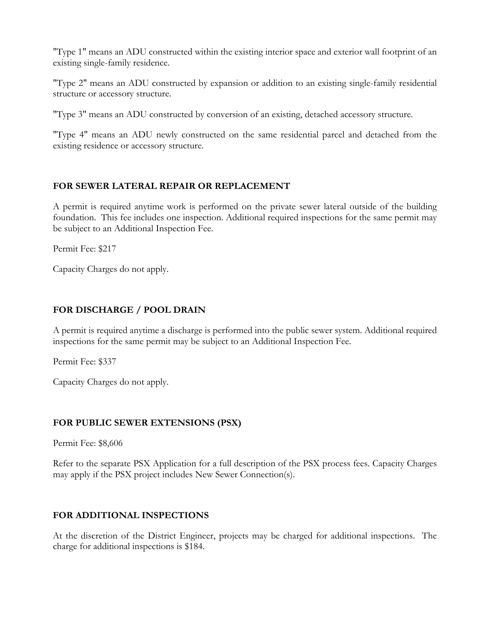"Type 1" means an ADU constructed within the existing interior space and exterior wall footprint of an existing single-family residence.

"Type 2" means an ADU constructed by expansion or addition to an existing single-family residential structure or accessory structure.

"Type 3" means an ADU constructed by conversion of an existing, detached accessory structure.

"Type 4" means an ADU newly constructed on the same residential parcel and detached from the existing residence or accessory structure.

## **FOR SEWER LATERAL REPAIR OR REPLACEMENT**

A permit is required anytime work is performed on the private sewer lateral outside of the building foundation. This fee includes one inspection. Additional required inspections for the same permit may be subject to an Additional Inspection Fee.

Permit Fee: \$217

Capacity Charges do not apply.

## **FOR DISCHARGE / POOL DRAIN**

A permit is required anytime a discharge is performed into the public sewer system. Additional required inspections for the same permit may be subject to an Additional Inspection Fee.

Permit Fee: \$337

Capacity Charges do not apply.

## **FOR PUBLIC SEWER EXTENSIONS (PSX)**

Permit Fee: \$8,606

Refer to the separate PSX Application for a full description of the PSX process fees. Capacity Charges may apply if the PSX project includes New Sewer Connection(s).

## **FOR ADDITIONAL INSPECTIONS**

At the discretion of the District Engineer, projects may be charged for additional inspections. The charge for additional inspections is \$184.